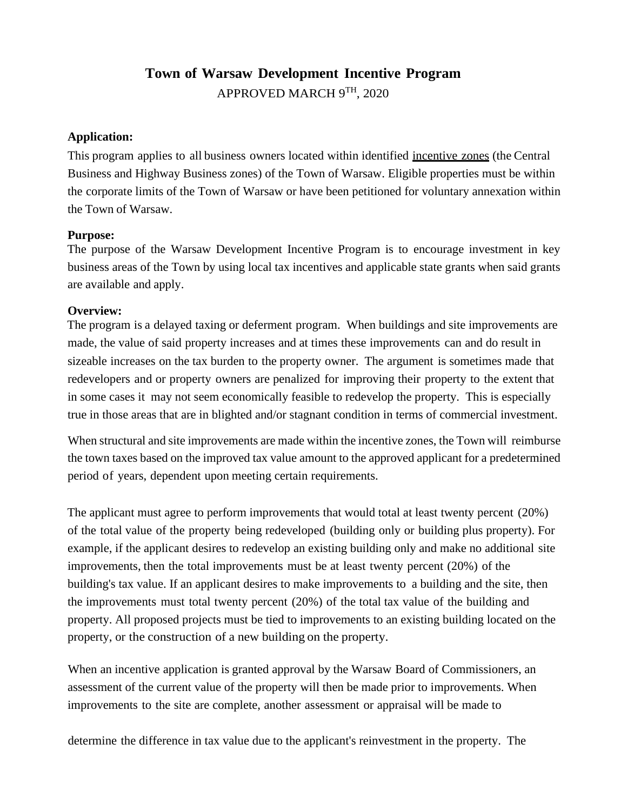# **Town of Warsaw Development Incentive Program**

APPROVED MARCH 9TH, 2020

### **Application:**

This program applies to all business owners located within identified incentive zones (the Central Business and Highway Business zones) of the Town of Warsaw. Eligible properties must be within the corporate limits of the Town of Warsaw or have been petitioned for voluntary annexation within the Town of Warsaw.

# **Purpose:**

The purpose of the Warsaw Development Incentive Program is to encourage investment in key business areas of the Town by using local tax incentives and applicable state grants when said grants are available and apply.

# **Overview:**

The program is a delayed taxing or deferment program. When buildings and site improvements are made, the value of said property increases and at times these improvements can and do result in sizeable increases on the tax burden to the property owner. The argument is sometimes made that redevelopers and or property owners are penalized for improving their property to the extent that in some cases it may not seem economically feasible to redevelop the property. This is especially true in those areas that are in blighted and/or stagnant condition in terms of commercial investment.

When structural and site improvements are made within the incentive zones, the Town will reimburse the town taxes based on the improved tax value amount to the approved applicant for a predetermined period of years, dependent upon meeting certain requirements.

The applicant must agree to perform improvements that would total at least twenty percent (20%) of the total value of the property being redeveloped (building only or building plus property). For example, if the applicant desires to redevelop an existing building only and make no additional site improvements, then the total improvements must be at least twenty percent (20%) of the building's tax value. If an applicant desires to make improvements to a building and the site, then the improvements must total twenty percent (20%) of the total tax value of the building and property. All proposed projects must be tied to improvements to an existing building located on the property, or the construction of a new building on the property.

When an incentive application is granted approval by the Warsaw Board of Commissioners, an assessment of the current value of the property will then be made prior to improvements. When improvements to the site are complete, another assessment or appraisal will be made to

determine the difference in tax value due to the applicant's reinvestment in the property. The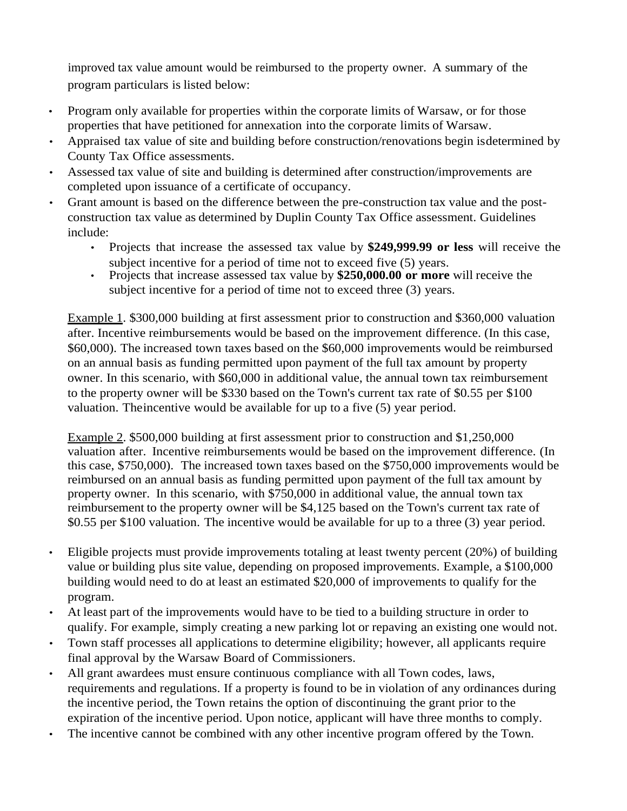improved tax value amount would be reimbursed to the property owner. A summary of the program particulars is listed below:

- Program only available for properties within the corporate limits of Warsaw, or for those properties that have petitioned for annexation into the corporate limits of Warsaw.
- Appraised tax value of site and building before construction/renovations begin isdetermined by County Tax Office assessments.
- Assessed tax value of site and building is determined after construction/improvements are completed upon issuance of a certificate of occupancy.
- Grant amount is based on the difference between the pre-construction tax value and the postconstruction tax value as determined by Duplin County Tax Office assessment. Guidelines include:
	- Projects that increase the assessed tax value by **\$249,999.99 or less** will receive the subject incentive for a period of time not to exceed five (5) years.
	- Projects that increase assessed tax value by **\$250,000.00 or more** will receive the subject incentive for a period of time not to exceed three (3) years.

Example 1. \$300,000 building at first assessment prior to construction and \$360,000 valuation after. Incentive reimbursements would be based on the improvement difference. (In this case, \$60,000). The increased town taxes based on the \$60,000 improvements would be reimbursed on an annual basis as funding permitted upon payment of the full tax amount by property owner. In this scenario, with \$60,000 in additional value, the annual town tax reimbursement to the property owner will be \$330 based on the Town's current tax rate of \$0.55 per \$100 valuation. Theincentive would be available for up to a five (5) year period.

Example 2. \$500,000 building at first assessment prior to construction and \$1,250,000 valuation after. Incentive reimbursements would be based on the improvement difference. (In this case, \$750,000). The increased town taxes based on the \$750,000 improvements would be reimbursed on an annual basis as funding permitted upon payment of the full tax amount by property owner. In this scenario, with \$750,000 in additional value, the annual town tax reimbursement to the property owner will be \$4,125 based on the Town's current tax rate of \$0.55 per \$100 valuation. The incentive would be available for up to a three (3) year period.

- Eligible projects must provide improvements totaling at least twenty percent (20%) of building value or building plus site value, depending on proposed improvements. Example, a \$100,000 building would need to do at least an estimated \$20,000 of improvements to qualify for the program.
- At least part of the improvements would have to be tied to a building structure in order to qualify. For example, simply creating a new parking lot or repaving an existing one would not.
- Town staff processes all applications to determine eligibility; however, all applicants require final approval by the Warsaw Board of Commissioners.
- All grant awardees must ensure continuous compliance with all Town codes, laws, requirements and regulations. If a property is found to be in violation of any ordinances during the incentive period, the Town retains the option of discontinuing the grant prior to the expiration of the incentive period. Upon notice, applicant will have three months to comply.
- The incentive cannot be combined with any other incentive program offered by the Town.